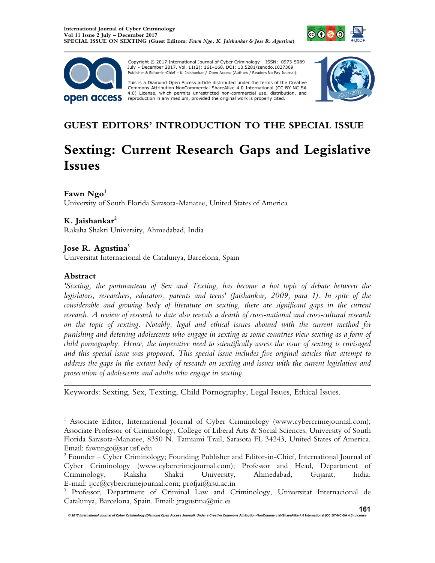



 Copyright © 2017 International Journal of Cyber Criminology – ISSN: 0973-5089 July – December 2017. Vol. 11(2): 161–168. DOI: 10.5281/zenodo.1037369 Publisher & Editor-in-Chief – K. Jaishankar / Open Access (Authors / Readers No Pay Journal).

This is a Diamond Open Access article distributed under the terms of the Creative Commons Attribution-NonCommercial-ShareAlike 4.0 International (CC-BY-NC-SA 4.0) License, which permits unrestricted non-commercial use, distribution, and<br>reproduction in any medium, provided the original work is properly cited.



# **GUEST EDITORS' INTRODUCTION TO THE SPECIAL ISSUE**

# **Sexting: Current Research Gaps and Legislative Issues**

# **Fawn Ngo<sup>1</sup>**

University of South Florida Sarasota-Manatee, United States of America

# **K. Jaishankar<sup>2</sup>**

Raksha Shakti University, Ahmedabad, India

# **Jose R. Agustina<sup>3</sup>**

Universitat Internacional de Catalunya, Barcelona, Spain

# **Abstract**

 $\overline{a}$ 

*'Sexting, the portmanteau of Sex and Texting, has become a hot topic of debate between the legislators, researchers, educators, parents and teens' (Jaishankar, 2009, para 1). In spite of the considerable and growing body of literature on sexting, there are significant gaps in the current research. A review of research to date also reveals a dearth of cross-national and cross-cultural research on the topic of sexting. Notably, legal and ethical issues abound with the current method for punishing and deterring adolescents who engage in sexting as some countries view sexting as a form of child pornography. Hence, the imperative need to scientifically assess the issue of sexting is envisaged and this special issue was proposed. This special issue includes five original articles that attempt to address the gaps in the extant body of research on sexting and issues with the current legislation and prosecution of adolescents and adults who engage in sexting.*

*\_\_\_\_\_\_\_\_\_\_\_\_\_\_\_\_\_\_\_\_\_\_\_\_\_\_\_\_\_\_\_\_\_\_\_\_\_\_\_\_\_\_\_\_\_\_\_\_\_\_\_\_\_\_\_\_\_\_\_\_\_\_\_\_\_\_\_\_\_\_\_\_* 

Keywords: Sexting, Sex, Texting, Child Pornography, Legal Issues, Ethical Issues.

<sup>&</sup>lt;sup>1</sup> Associate Editor, International Journal of Cyber Criminology (www.cybercrimejournal.com); Associate Professor of Criminology, College of Liberal Arts & Social Sciences, University of South Florida Sarasota-Manatee, 8350 N. Tamiami Trail, Sarasota FL 34243, United States of America. Email: fawnngo@sar.usf.edu

<sup>&</sup>lt;sup>2</sup> Founder – Cyber Criminology; Founding Publisher and Editor-in-Chief, International Journal of Cyber Criminology (www.cybercrimejournal.com); Professor and Head, Department of Criminology, Raksha Shakti University, Ahmedabad, Gujarat, India. E-mail: ijcc@cybercrimejournal.com; profjai@rsu.ac.in

<sup>&</sup>lt;sup>3</sup> Professor, Department of Criminal Law and Criminology, Universitat Internacional de Catalunya, Barcelona, Spain. Email: jragustina@uic.es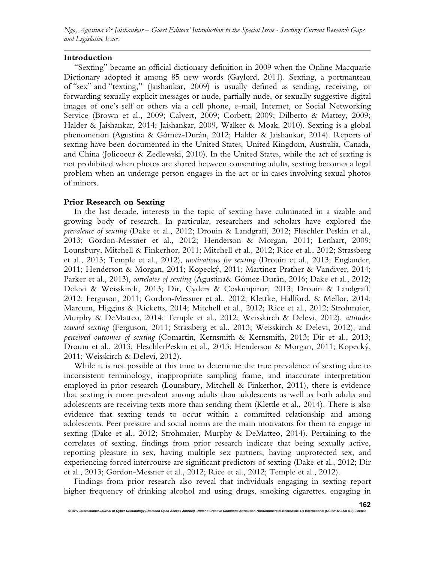*Ngo, Agustina & Jaishankar – Guest Editors' Introduction to the Special Issue - Sexting: Current Research Gaps and Legislative Issues* 

#### **Introduction**

"Sexting" became an official dictionary definition in 2009 when the Online Macquarie Dictionary adopted it among 85 new words (Gaylord, 2011). Sexting, a portmanteau of "sex" and "texting," (Jaishankar, 2009) is usually defined as sending, receiving, or forwarding sexually explicit messages or nude, partially nude, or sexually suggestive digital images of one's self or others via a cell phone, e-mail, Internet, or Social Networking Service (Brown et al., 2009; Calvert, 2009; Corbett, 2009; Dilberto & Mattey, 2009; Halder & Jaishankar, 2014; Jaishankar, 2009, Walker & Moak, 2010). Sexting is a global phenomenon (Agustina & Gómez-Durán, 2012; Halder & Jaishankar, 2014). Reports of sexting have been documented in the United States, United Kingdom, Australia, Canada, and China (Jolicoeur & Zedlewski, 2010). In the United States, while the act of sexting is not prohibited when photos are shared between consenting adults, sexting becomes a legal problem when an underage person engages in the act or in cases involving sexual photos of minors.

#### **Prior Research on Sexting**

In the last decade, interests in the topic of sexting have culminated in a sizable and growing body of research. In particular, researchers and scholars have explored the *prevalence of sexting* (Dake et al., 2012; Drouin & Landgraff, 2012; Fleschler Peskin et al., 2013; Gordon-Messner et al., 2012; Henderson & Morgan, 2011; Lenhart, 2009; Lounsbury, Mitchell & Finkerhor, 2011; Mitchell et al., 2012; Rice et al., 2012; Strassberg et al., 2013; Temple et al., 2012), *motivations for sexting* (Drouin et al., 2013; Englander, 2011; Henderson & Morgan, 2011; Kopecký, 2011; Martinez-Prather & Vandiver, 2014; Parker et al., 2013), *correlates of sexting* (Agustina& Gómez-Durán, 2016; Dake et al., 2012; Delevi & Weisskirch, 2013; Dir, Cyders & Coskunpinar, 2013; Drouin & Landgraff, 2012; Ferguson, 2011; Gordon-Messner et al., 2012; Klettke, Hallford, & Mellor, 2014; Marcum, Higgins & Ricketts, 2014; Mitchell et al., 2012; Rice et al., 2012; Strohmaier, Murphy & DeMatteo, 2014; Temple et al., 2012; Weisskirch & Delevi, 2012), *attitudes toward sexting* (Ferguson, 2011; Strassberg et al., 2013; Weisskirch & Delevi, 2012), and *perceived outcomes of sexting* (Comartin, Kernsmith & Kernsmith, 2013; Dir et al., 2013; Drouin et al., 2013; FleschlerPeskin et al., 2013; Henderson & Morgan, 2011; Kopecký, 2011; Weisskirch & Delevi, 2012).

While it is not possible at this time to determine the true prevalence of sexting due to inconsistent terminology, inappropriate sampling frame, and inaccurate interpretation employed in prior research (Lounsbury, Mitchell & Finkerhor, 2011), there is evidence that sexting is more prevalent among adults than adolescents as well as both adults and adolescents are receiving texts more than sending them (Klettle et al., 2014). There is also evidence that sexting tends to occur within a committed relationship and among adolescents. Peer pressure and social norms are the main motivators for them to engage in sexting (Dake et al., 2012; Strohmaier, Murphy & DeMatteo, 2014). Pertaining to the correlates of sexting, findings from prior research indicate that being sexually active, reporting pleasure in sex, having multiple sex partners, having unprotected sex, and experiencing forced intercourse are significant predictors of sexting (Dake et al., 2012; Dir et al., 2013; Gordon-Messner et al., 2012; Rice et al., 2012; Temple et al., 2012).

Findings from prior research also reveal that individuals engaging in sexting report higher frequency of drinking alcohol and using drugs, smoking cigarettes, engaging in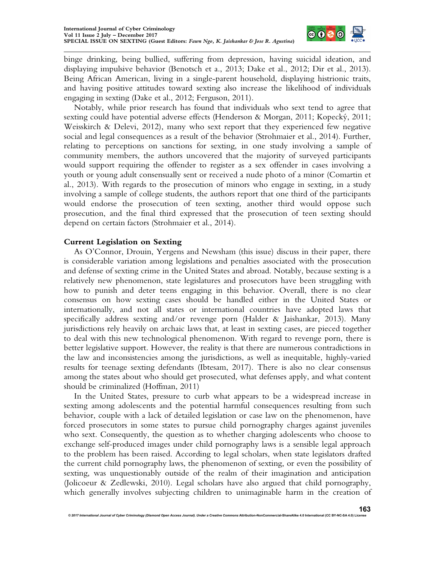

binge drinking, being bullied, suffering from depression, having suicidal ideation, and displaying impulsive behavior (Benotsch et a., 2013; Dake et al., 2012; Dir et al., 2013). Being African American, living in a single-parent household, displaying histrionic traits, and having positive attitudes toward sexting also increase the likelihood of individuals engaging in sexting (Dake et al., 2012; Ferguson, 2011).

Notably, while prior research has found that individuals who sext tend to agree that sexting could have potential adverse effects (Henderson & Morgan, 2011; Kopecký, 2011; Weisskirch & Delevi, 2012), many who sext report that they experienced few negative social and legal consequences as a result of the behavior (Strohmaier et al., 2014). Further, relating to perceptions on sanctions for sexting, in one study involving a sample of community members, the authors uncovered that the majority of surveyed participants would support requiring the offender to register as a sex offender in cases involving a youth or young adult consensually sent or received a nude photo of a minor (Comartin et al., 2013). With regards to the prosecution of minors who engage in sexting, in a study involving a sample of college students, the authors report that one third of the participants would endorse the prosecution of teen sexting, another third would oppose such prosecution, and the final third expressed that the prosecution of teen sexting should depend on certain factors (Strohmaier et al., 2014).

### **Current Legislation on Sexting**

As O'Connor, Drouin, Yergens and Newsham (this issue) discuss in their paper, there is considerable variation among legislations and penalties associated with the prosecution and defense of sexting crime in the United States and abroad. Notably, because sexting is a relatively new phenomenon, state legislatures and prosecutors have been struggling with how to punish and deter teens engaging in this behavior. Overall, there is no clear consensus on how sexting cases should be handled either in the United States or internationally, and not all states or international countries have adopted laws that specifically address sexting and/or revenge porn (Halder & Jaishankar, 2013). Many jurisdictions rely heavily on archaic laws that, at least in sexting cases, are pieced together to deal with this new technological phenomenon. With regard to revenge porn, there is better legislative support. However, the reality is that there are numerous contradictions in the law and inconsistencies among the jurisdictions, as well as inequitable, highly-varied results for teenage sexting defendants (Ibtesam, 2017). There is also no clear consensus among the states about who should get prosecuted, what defenses apply, and what content should be criminalized (Hoffman, 2011)

In the United States, pressure to curb what appears to be a widespread increase in sexting among adolescents and the potential harmful consequences resulting from such behavior, couple with a lack of detailed legislation or case law on the phenomenon, have forced prosecutors in some states to pursue child pornography charges against juveniles who sext. Consequently, the question as to whether charging adolescents who choose to exchange self-produced images under child pornography laws is a sensible legal approach to the problem has been raised. According to legal scholars, when state legislators drafted the current child pornography laws, the phenomenon of sexting, or even the possibility of sexting, was unquestionably outside of the realm of their imagination and anticipation (Jolicoeur & Zedlewski, 2010). Legal scholars have also argued that child pornography, which generally involves subjecting children to unimaginable harm in the creation of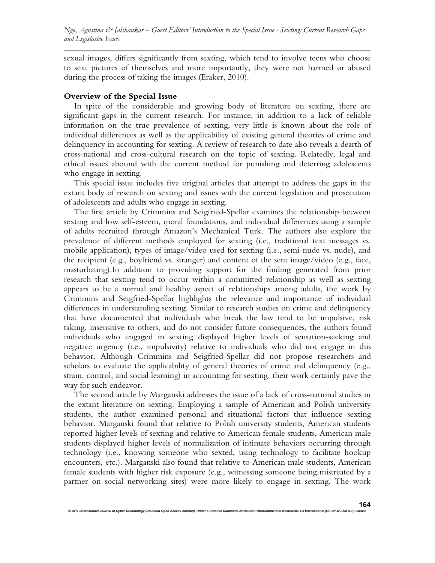sexual images, differs significantly from sexting, which tend to involve teens who choose to sext pictures of themselves and more importantly, they were not harmed or abused during the process of taking the images (Eraker, 2010).

#### **Overview of the Special Issue**

In spite of the considerable and growing body of literature on sexting, there are significant gaps in the current research. For instance, in addition to a lack of reliable information on the true prevalence of sexting, very little is known about the role of individual differences as well as the applicability of existing general theories of crime and delinquency in accounting for sexting. A review of research to date also reveals a dearth of cross-national and cross-cultural research on the topic of sexting. Relatedly, legal and ethical issues abound with the current method for punishing and deterring adolescents who engage in sexting.

This special issue includes five original articles that attempt to address the gaps in the extant body of research on sexting and issues with the current legislation and prosecution of adolescents and adults who engage in sexting.

The first article by Crimmins and Seigfried-Spellar examines the relationship between sexting and low self-esteem, moral foundations, and individual differences using a sample of adults recruited through Amazon's Mechanical Turk. The authors also explore the prevalence of different methods employed for sexting (i.e., traditional text messages vs. mobile application), types of image/video used for sexting (i.e., semi-nude vs. nude), and the recipient (e.g., boyfriend vs. stranger) and content of the sent image/video (e.g., face, masturbating).In addition to providing support for the finding generated from prior research that sexting tend to occur within a committed relationship as well as sexting appears to be a normal and healthy aspect of relationships among adults, the work by Crimmins and Seigfried-Spellar highlights the relevance and importance of individual differences in understanding sexting. Similar to research studies on crime and delinquency that have documented that individuals who break the law tend to be impulsive, risk taking, insensitive to others, and do not consider future consequences, the authors found individuals who engaged in sexting displayed higher levels of sensation-seeking and negative urgency (i.e., impulsivity) relative to individuals who did not engage in this behavior. Although Crimmins and Seigfried-Spellar did not propose researchers and scholars to evaluate the applicability of general theories of crime and delinquency (e.g., strain, control, and social learning) in accounting for sexting, their work certainly pave the way for such endeavor.

The second article by Marganski addresses the issue of a lack of cross-national studies in the extant literature on sexting. Employing a sample of American and Polish university students, the author examined personal and situational factors that influence sexting behavior. Marganski found that relative to Polish university students, American students reported higher levels of sexting and relative to American female students, American male students displayed higher levels of normalization of intimate behaviors occurring through technology (i.e., knowing someone who sexted, using technology to facilitate hookup encounters, etc.). Marganski also found that relative to American male students, American female students with higher risk exposure (e.g., witnessing someone being mistreated by a partner on social networking sites) were more likely to engage in sexting. The work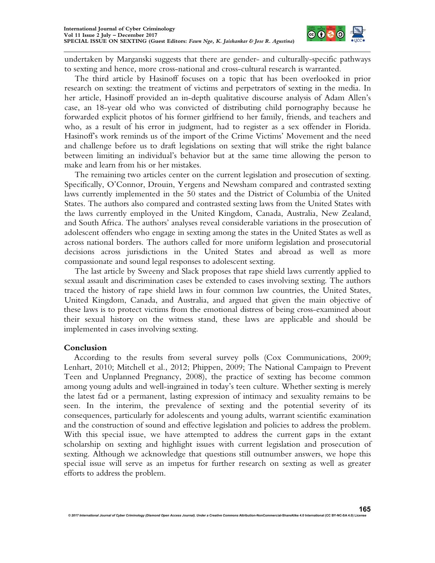

undertaken by Marganski suggests that there are gender- and culturally-specific pathways to sexting and hence, more cross-national and cross-cultural research is warranted.

The third article by Hasinoff focuses on a topic that has been overlooked in prior research on sexting: the treatment of victims and perpetrators of sexting in the media. In her article, Hasinoff provided an in-depth qualitative discourse analysis of Adam Allen's case, an 18-year old who was convicted of distributing child pornography because he forwarded explicit photos of his former girlfriend to her family, friends, and teachers and who, as a result of his error in judgment, had to register as a sex offender in Florida. Hasinoff's work reminds us of the import of the Crime Victims' Movement and the need and challenge before us to draft legislations on sexting that will strike the right balance between limiting an individual's behavior but at the same time allowing the person to make and learn from his or her mistakes.

The remaining two articles center on the current legislation and prosecution of sexting. Specifically, O'Connor, Drouin, Yergens and Newsham compared and contrasted sexting laws currently implemented in the 50 states and the District of Columbia of the United States. The authors also compared and contrasted sexting laws from the United States with the laws currently employed in the United Kingdom, Canada, Australia, New Zealand, and South Africa. The authors' analyses reveal considerable variations in the prosecution of adolescent offenders who engage in sexting among the states in the United States as well as across national borders. The authors called for more uniform legislation and prosecutorial decisions across jurisdictions in the United States and abroad as well as more compassionate and sound legal responses to adolescent sexting.

The last article by Sweeny and Slack proposes that rape shield laws currently applied to sexual assault and discrimination cases be extended to cases involving sexting. The authors traced the history of rape shield laws in four common law countries, the United States, United Kingdom, Canada, and Australia, and argued that given the main objective of these laws is to protect victims from the emotional distress of being cross-examined about their sexual history on the witness stand, these laws are applicable and should be implemented in cases involving sexting.

#### **Conclusion**

According to the results from several survey polls (Cox Communications, 2009; Lenhart, 2010; Mitchell et al., 2012; Phippen, 2009; The National Campaign to Prevent Teen and Unplanned Pregnancy, 2008), the practice of sexting has become common among young adults and well-ingrained in today's teen culture. Whether sexting is merely the latest fad or a permanent, lasting expression of intimacy and sexuality remains to be seen. In the interim, the prevalence of sexting and the potential severity of its consequences, particularly for adolescents and young adults, warrant scientific examination and the construction of sound and effective legislation and policies to address the problem. With this special issue, we have attempted to address the current gaps in the extant scholarship on sexting and highlight issues with current legislation and prosecution of sexting. Although we acknowledge that questions still outnumber answers, we hope this special issue will serve as an impetus for further research on sexting as well as greater efforts to address the problem.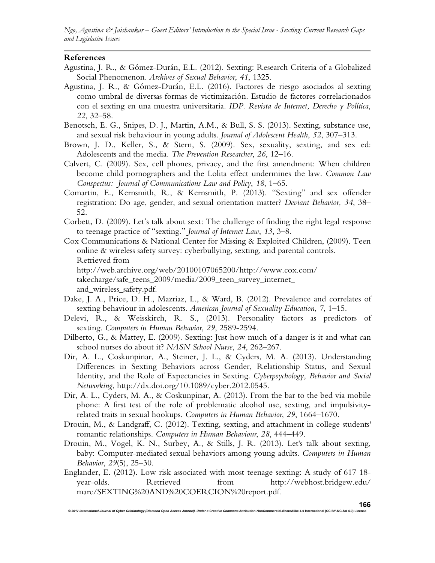*Ngo, Agustina & Jaishankar – Guest Editors' Introduction to the Special Issue - Sexting: Current Research Gaps and Legislative Issues* 

#### **References**

- Agustina, J. R., & Gómez-Durán, E.L. (2012). Sexting: Research Criteria of a Globalized Social Phenomenon. *Archives of Sexual Behavior*, *41*, 1325.
- Agustina, J. R., & Gómez-Durán, E.L. (2016). Factores de riesgo asociados al sexting como umbral de diversas formas de victimización. Estudio de factores correlacionados con el sexting en una muestra universitaria. *IDP. Revista de Internet, Derecho y Política*, *22*, 32–58.
- Benotsch, E. G., Snipes, D. J., Martin, A.M., & Bull, S. S. (2013). Sexting, substance use, and sexual risk behaviour in young adults. *Journal of Adolescent Health*, *52*, 307–313.
- Brown, J. D., Keller, S., & Stern, S. (2009). Sex, sexuality, sexting, and sex ed: Adolescents and the media*. The Prevention Researcher*, *26*, 12–16.
- Calvert, C. (2009). Sex, cell phones, privacy, and the first amendment: When children become child pornographers and the Lolita effect undermines the law. *Common Law Conspectus: Journal of Communications Law and Policy*, *18*, 1–65.
- Comartin, E., Kernsmith, R., & Kernsmith, P. (2013). "Sexting" and sex offender registration: Do age, gender, and sexual orientation matter? *Deviant Behavior, 34*, 38– 52.
- Corbett, D. (2009). Let's talk about sext: The challenge of finding the right legal response to teenage practice of "sexting." *Journal of Internet Law*, *13*, 3–8.
- Cox Communications & National Center for Missing & Exploited Children, (2009). Teen online & wireless safety survey: cyberbullying, sexting, and parental controls. Retrieved from http://web.archive.org/web/20100107065200/http://www.cox.com/ takecharge/safe\_teens\_2009/media/2009\_teen\_survey\_internet\_ and\_wireless\_safety.pdf.
- Dake, J. A., Price, D. H., Mazriaz, L., & Ward, B. (2012). Prevalence and correlates of sexting behaviour in adolescents. *American Journal of Sexuality Education*, *7*, 1–15.
- Delevi, R., & Weisskirch, R. S., (2013). Personality factors as predictors of sexting. *Computers in Human Behavior*, *29*, 2589-2594.
- Dilberto, G., & Mattey, E. (2009). Sexting: Just how much of a danger is it and what can school nurses do about it? *NASN School Nurse*, *24*, 262–267.
- Dir, A. L., Coskunpinar, A., Steiner, J. L., & Cyders, M. A. (2013). Understanding Differences in Sexting Behaviors across Gender, Relationship Status, and Sexual Identity, and the Role of Expectancies in Sexting. *Cyberpsychology, Behavior and Social Networking*, http://dx.doi.org/10.1089/cyber.2012.0545.
- Dir, A. L., Cyders, M. A., & Coskunpinar, A. (2013). From the bar to the bed via mobile phone: A first test of the role of problematic alcohol use, sexting, and impulsivityrelated traits in sexual hookups. *Computers in Human Behavior*, *29*, 1664–1670.
- Drouin, M., & Landgraff, C. (2012). Texting, sexting, and attachment in college students' romantic relationships. *Computers in Human Behaviour*, *28*, 444–449.
- Drouin, M., Vogel, K. N., Surbey, A., & Stills, J. R. (2013). Let's talk about sexting, baby: Computer-mediated sexual behaviors among young adults. *Computers in Human Behavior*, *29*(5), 25–30.
- Englander, E. (2012). Low risk associated with most teenage sexting: A study of 617 18 year-olds. Retrieved from http://webhost.bridgew.edu/ marc/SEXTING%20AND%20COERCION%20report.pdf.

*© 2017 International Journal of Cyber Criminology (Diamond Open Access Journal). Under a Creative Commons* **Attribution-NonCommercial-ShareAlike 4.0 International (CC BY-NC-SA 4.0) License**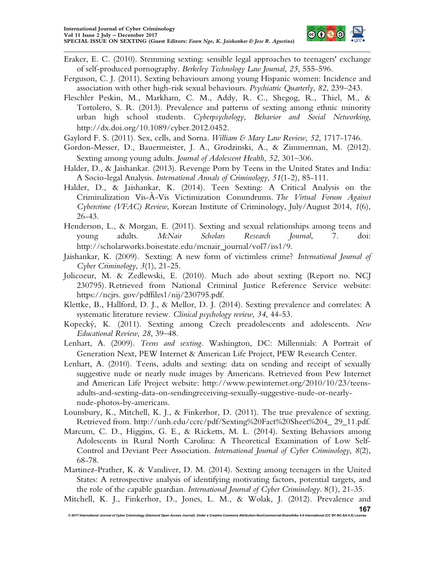

- Eraker, E. C. (2010). Stemming sexting: sensible legal approaches to teenagers' exchange of self-produced pornography. *Berkeley Technology Law Journal*, *25*, 555-596.
- Ferguson, C. J. (2011). Sexting behaviours among young Hispanic women: Incidence and association with other high-risk sexual behaviours. *Psychiatric Quarterly*, *82*, 239–243.
- Fleschler Peskin, M., Markham, C. M., Addy, R. C., Shegog, R., Thiel, M., & Tortolero, S. R. (2013). Prevalence and patterns of sexting among ethnic minority urban high school students. *Cyberpsychology, Behavior and Social Networking*, http://dx.doi.org/10.1089/cyber.2012.0452.
- Gaylord F. S. (2011). Sex, cells, and Sorna. *William & Mary Law Review, 52*, 1717-1746.
- Gordon-Messer, D., Bauermeister, J. A., Grodzinski, A., & Zimmerman, M. (2012). Sexting among young adults. *Journal of Adolescent Health*, *52*, 301–306.
- Halder, D., & Jaishankar. (2013). Revenge Porn by Teens in the United States and India: A Socio-legal Analysis. *International Annals of Criminology*, *51*(1-2), 85-111.
- Halder, D., & Jaishankar, K. (2014). Teen Sexting: A Critical Analysis on the Criminalization Vis-À-Vis Victimization Conundrums. *The Virtual Forum Against Cybercrime (VFAC) Review*, Korean Institute of Criminology, July/August 2014, *1*(6), 26-43.
- Henderson, L., & Morgan, E. (2011). Sexting and sexual relationships among teens and young adults. *McNair Scholars Research Journal*, 7. doi: http://scholarworks.boisestate.edu/mcnair\_journal/vol7/iss1/9.
- Jaishankar, K. (2009). Sexting: A new form of victimless crime? *International Journal of Cyber Criminology*, *3*(1), 21-25.
- Jolicoeur, M. & Zedlewski, E. (2010). Much ado about sexting (Report no. NCJ 230795). Retrieved from National Criminal Justice Reference Service website: https://ncjrs. gov/pdffiles1/nij/230795.pdf.
- Klettke, B., Hallford, D. J., & Mellor, D. J. (2014). Sexting prevalence and correlates: A systematic literature review. *Clinical psychology review*, *34*, 44-53.
- Kopecký, K. (2011). Sexting among Czech preadolescents and adolescents. *New Educational Review*, *28*, 39–48.
- Lenhart, A. (2009). *Teens and sexting.* Washington, DC: Millennials: A Portrait of Generation Next, PEW Internet & American Life Project, PEW Research Center.
- Lenhart, A. (2010). Teens, adults and sexting: data on sending and receipt of sexually suggestive nude or nearly nude images by Americans. Retrieved from Pew Internet and American Life Project website: http://www.pewinternet.org/2010/10/23/teensadults-and-sexting-data-on-sendingreceiving-sexually-suggestive-nude-or-nearlynude-photos-by-americans.
- Lounsbury, K., Mitchell, K. J., & Finkerhor, D. (2011). The true prevalence of sexting. Retrieved from. http://unh.edu/ccrc/pdf/Sexting%20Fact%20Sheet%204\_ 29\_11.pdf.
- Marcum, C. D., Higgins, G. E., & Ricketts, M. L. (2014). Sexting Behaviors among Adolescents in Rural North Carolina: A Theoretical Examination of Low Self-Control and Deviant Peer Association. *International Journal of Cyber Criminology*, *8*(2), 68-78.
- Martinez-Prather, K. & Vandiver, D. M. (2014). Sexting among teenagers in the United States: A retrospective analysis of identifying motivating factors, potential targets, and the role of the capable guardian. *International Journal of Cyber Criminology*. 8(1), 21-35.

```
Mitchell, K. J., Finkerhor, D., Jones, L. M., & Wolak, J. (2012). Prevalence and
```